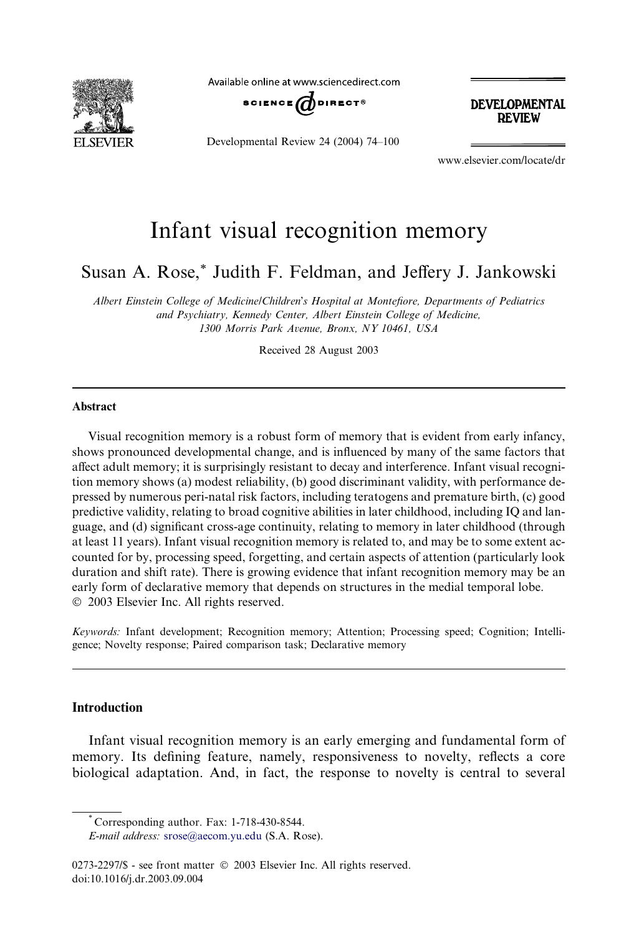

Available online at www.sciencedirect.com



**DEVELOPMENTAL REVIEW** 

Developmental Review 24 (2004) 74–100

www.elsevier.com/locate/dr

## Infant visual recognition memory

Susan A. Rose,\* Judith F. Feldman, and Jeffery J. Jankowski

Albert Einstein College of Medicine/Children's Hospital at Montefiore, Departments of Pediatrics and Psychiatry, Kennedy Center, Albert Einstein College of Medicine, 1300 Morris Park Avenue, Bronx, NY 10461, USA

Received 28 August 2003

#### Abstract

Visual recognition memory is a robust form of memory that is evident from early infancy, shows pronounced developmental change, and is influenced by many of the same factors that affect adult memory; it is surprisingly resistant to decay and interference. Infant visual recognition memory shows (a) modest reliability, (b) good discriminant validity, with performance depressed by numerous peri-natal risk factors, including teratogens and premature birth, (c) good predictive validity, relating to broad cognitive abilities in later childhood, including IQ and language, and (d) significant cross-age continuity, relating to memory in later childhood (through at least 11 years). Infant visual recognition memory is related to, and may be to some extent accounted for by, processing speed, forgetting, and certain aspects of attention (particularly look duration and shift rate). There is growing evidence that infant recognition memory may be an early form of declarative memory that depends on structures in the medial temporal lobe. 2003 Elsevier Inc. All rights reserved.

Keywords: Infant development; Recognition memory; Attention; Processing speed; Cognition; Intelligence; Novelty response; Paired comparison task; Declarative memory

#### **Introduction**

Infant visual recognition memory is an early emerging and fundamental form of memory. Its defining feature, namely, responsiveness to novelty, reflects a core biological adaptation. And, in fact, the response to novelty is central to several

<sup>\*</sup> Corresponding author. Fax: 1-718-430-8544.

E-mail address: [srose@aecom.yu.edu](mail to: srose@aecom.yu.edu) (S.A. Rose).

<sup>0273-2297/\$ -</sup> see front matter  $\odot$  2003 Elsevier Inc. All rights reserved. doi:10.1016/j.dr.2003.09.004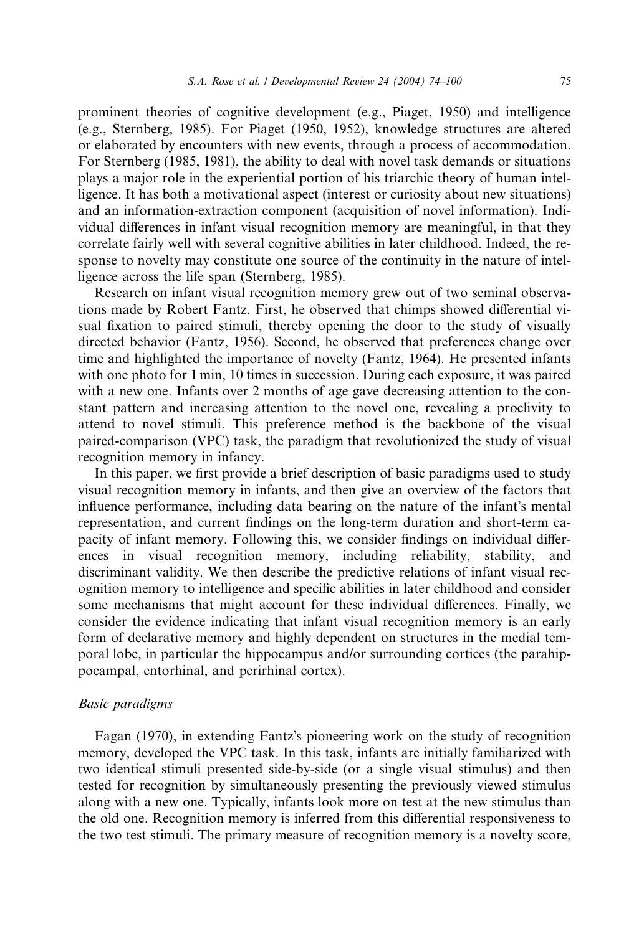prominent theories of cognitive development (e.g., Piaget, 1950) and intelligence (e.g., Sternberg, 1985). For Piaget (1950, 1952), knowledge structures are altered or elaborated by encounters with new events, through a process of accommodation. For Sternberg (1985, 1981), the ability to deal with novel task demands or situations plays a major role in the experiential portion of his triarchic theory of human intelligence. It has both a motivational aspect (interest or curiosity about new situations) and an information-extraction component (acquisition of novel information). Individual differences in infant visual recognition memory are meaningful, in that they correlate fairly well with several cognitive abilities in later childhood. Indeed, the response to novelty may constitute one source of the continuity in the nature of intelligence across the life span (Sternberg, 1985).

Research on infant visual recognition memory grew out of two seminal observations made by Robert Fantz. First, he observed that chimps showed differential visual fixation to paired stimuli, thereby opening the door to the study of visually directed behavior (Fantz, 1956). Second, he observed that preferences change over time and highlighted the importance of novelty (Fantz, 1964). He presented infants with one photo for 1 min, 10 times in succession. During each exposure, it was paired with a new one. Infants over 2 months of age gave decreasing attention to the constant pattern and increasing attention to the novel one, revealing a proclivity to attend to novel stimuli. This preference method is the backbone of the visual paired-comparison (VPC) task, the paradigm that revolutionized the study of visual recognition memory in infancy.

In this paper, we first provide a brief description of basic paradigms used to study visual recognition memory in infants, and then give an overview of the factors that influence performance, including data bearing on the nature of the infant's mental representation, and current findings on the long-term duration and short-term capacity of infant memory. Following this, we consider findings on individual differences in visual recognition memory, including reliability, stability, and discriminant validity. We then describe the predictive relations of infant visual recognition memory to intelligence and specific abilities in later childhood and consider some mechanisms that might account for these individual differences. Finally, we consider the evidence indicating that infant visual recognition memory is an early form of declarative memory and highly dependent on structures in the medial temporal lobe, in particular the hippocampus and/or surrounding cortices (the parahippocampal, entorhinal, and perirhinal cortex).

### Basic paradigms

Fagan (1970), in extending Fantz's pioneering work on the study of recognition memory, developed the VPC task. In this task, infants are initially familiarized with two identical stimuli presented side-by-side (or a single visual stimulus) and then tested for recognition by simultaneously presenting the previously viewed stimulus along with a new one. Typically, infants look more on test at the new stimulus than the old one. Recognition memory is inferred from this differential responsiveness to the two test stimuli. The primary measure of recognition memory is a novelty score,